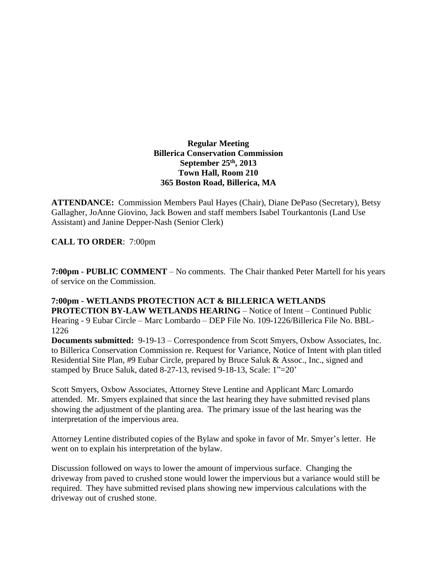## **Regular Meeting Billerica Conservation Commission September 25th , 2013 Town Hall, Room 210 365 Boston Road, Billerica, MA**

**ATTENDANCE:** Commission Members Paul Hayes (Chair), Diane DePaso (Secretary), Betsy Gallagher, JoAnne Giovino, Jack Bowen and staff members Isabel Tourkantonis (Land Use Assistant) and Janine Depper-Nash (Senior Clerk)

## **CALL TO ORDER**: 7:00pm

**7:00pm - PUBLIC COMMENT** – No comments. The Chair thanked Peter Martell for his years of service on the Commission.

# **7:00pm - WETLANDS PROTECTION ACT & BILLERICA WETLANDS**

**PROTECTION BY-LAW WETLANDS HEARING** – Notice of Intent – Continued Public Hearing - 9 Eubar Circle – Marc Lombardo – DEP File No. 109-1226/Billerica File No. BBL-1226

**Documents submitted:** 9-19-13 – Correspondence from Scott Smyers, Oxbow Associates, Inc. to Billerica Conservation Commission re. Request for Variance, Notice of Intent with plan titled Residential Site Plan, #9 Eubar Circle, prepared by Bruce Saluk & Assoc., Inc., signed and stamped by Bruce Saluk, dated 8-27-13, revised 9-18-13, Scale: 1"=20'

Scott Smyers, Oxbow Associates, Attorney Steve Lentine and Applicant Marc Lomardo attended. Mr. Smyers explained that since the last hearing they have submitted revised plans showing the adjustment of the planting area. The primary issue of the last hearing was the interpretation of the impervious area.

Attorney Lentine distributed copies of the Bylaw and spoke in favor of Mr. Smyer's letter. He went on to explain his interpretation of the bylaw.

Discussion followed on ways to lower the amount of impervious surface. Changing the driveway from paved to crushed stone would lower the impervious but a variance would still be required. They have submitted revised plans showing new impervious calculations with the driveway out of crushed stone.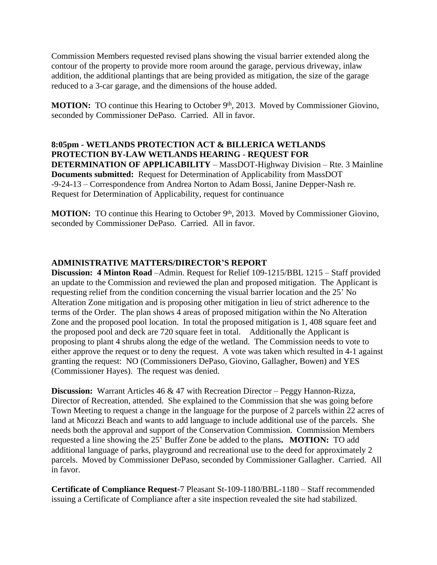Commission Members requested revised plans showing the visual barrier extended along the contour of the property to provide more room around the garage, pervious driveway, inlaw addition, the additional plantings that are being provided as mitigation, the size of the garage reduced to a 3-car garage, and the dimensions of the house added.

MOTION: TO continue this Hearing to October 9<sup>th</sup>, 2013. Moved by Commissioner Giovino, seconded by Commissioner DePaso. Carried. All in favor.

**8:05pm - WETLANDS PROTECTION ACT & BILLERICA WETLANDS PROTECTION BY-LAW WETLANDS HEARING** - **REQUEST FOR DETERMINATION OF APPLICABILITY** – MassDOT-Highway Division – Rte. 3 Mainline **Documents submitted:** Request for Determination of Applicability from MassDOT -9-24-13 – Correspondence from Andrea Norton to Adam Bossi, Janine Depper-Nash re. Request for Determination of Applicability, request for continuance

**MOTION:** TO continue this Hearing to October 9<sup>th</sup>, 2013. Moved by Commissioner Giovino, seconded by Commissioner DePaso. Carried. All in favor.

#### **ADMINISTRATIVE MATTERS/DIRECTOR'S REPORT**

**Discussion: 4 Minton Road** –Admin. Request for Relief 109-1215/BBL 1215 – Staff provided an update to the Commission and reviewed the plan and proposed mitigation. The Applicant is requesting relief from the condition concerning the visual barrier location and the 25' No Alteration Zone mitigation and is proposing other mitigation in lieu of strict adherence to the terms of the Order. The plan shows 4 areas of proposed mitigation within the No Alteration Zone and the proposed pool location. In total the proposed mitigation is 1, 408 square feet and the proposed pool and deck are 720 square feet in total. Additionally the Applicant is proposing to plant 4 shrubs along the edge of the wetland. The Commission needs to vote to either approve the request or to deny the request. A vote was taken which resulted in 4-1 against granting the request: NO (Commissioners DePaso, Giovino, Gallagher, Bowen) and YES (Commissioner Hayes). The request was denied.

**Discussion:** Warrant Articles 46 & 47 with Recreation Director – Peggy Hannon-Rizza, Director of Recreation, attended. She explained to the Commission that she was going before Town Meeting to request a change in the language for the purpose of 2 parcels within 22 acres of land at Micozzi Beach and wants to add language to include additional use of the parcels. She needs both the approval and support of the Conservation Commission. Commission Members requested a line showing the 25' Buffer Zone be added to the plans**. MOTION:** TO add additional language of parks, playground and recreational use to the deed for approximately 2 parcels. Moved by Commissioner DePaso, seconded by Commissioner Gallagher. Carried. All in favor.

**Certificate of Compliance Request**-7 Pleasant St-109-1180/BBL-1180 – Staff recommended issuing a Certificate of Compliance after a site inspection revealed the site had stabilized.